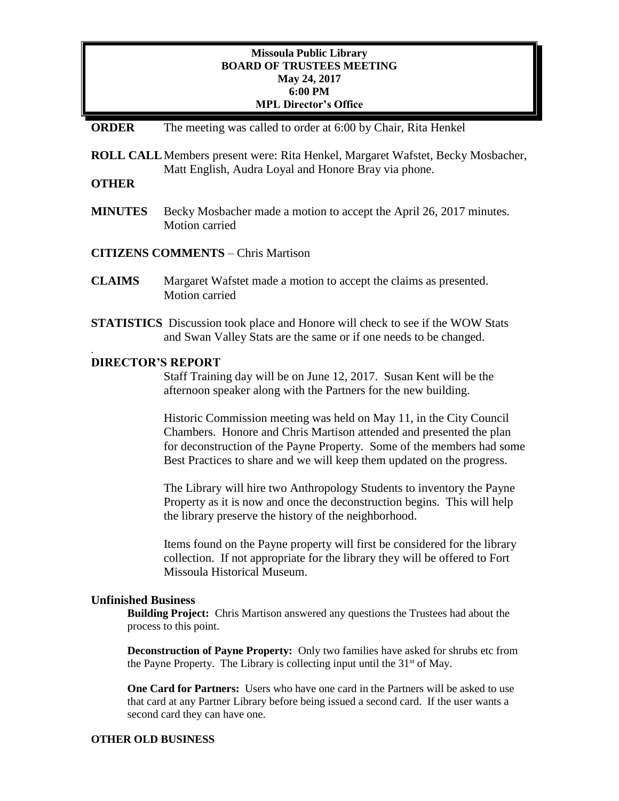## **Missoula Public Library BOARD OF TRUSTEES MEETING May 24, 2017 6:00 PM MPL Director's Office**

### **ORDER** The meeting was called to order at 6:00 by Chair, Rita Henkel

**ROLL CALL**Members present were: Rita Henkel, Margaret Wafstet, Becky Mosbacher, Matt English, Audra Loyal and Honore Bray via phone.

# **OTHER**

.

**MINUTES** Becky Mosbacher made a motion to accept the April 26, 2017 minutes. Motion carried

## **CITIZENS COMMENTS** – Chris Martison

- **CLAIMS** Margaret Wafstet made a motion to accept the claims as presented. Motion carried
- **STATISTICS** Discussion took place and Honore will check to see if the WOW Stats and Swan Valley Stats are the same or if one needs to be changed.

### **DIRECTOR'S REPORT**

Staff Training day will be on June 12, 2017. Susan Kent will be the afternoon speaker along with the Partners for the new building.

Historic Commission meeting was held on May 11, in the City Council Chambers. Honore and Chris Martison attended and presented the plan for deconstruction of the Payne Property. Some of the members had some Best Practices to share and we will keep them updated on the progress.

The Library will hire two Anthropology Students to inventory the Payne Property as it is now and once the deconstruction begins. This will help the library preserve the history of the neighborhood.

Items found on the Payne property will first be considered for the library collection. If not appropriate for the library they will be offered to Fort Missoula Historical Museum.

#### **Unfinished Business**

**Building Project:** Chris Martison answered any questions the Trustees had about the process to this point.

**Deconstruction of Payne Property:** Only two families have asked for shrubs etc from the Payne Property. The Library is collecting input until the  $31<sup>st</sup>$  of May.

**One Card for Partners:** Users who have one card in the Partners will be asked to use that card at any Partner Library before being issued a second card. If the user wants a second card they can have one.

#### **OTHER OLD BUSINESS**